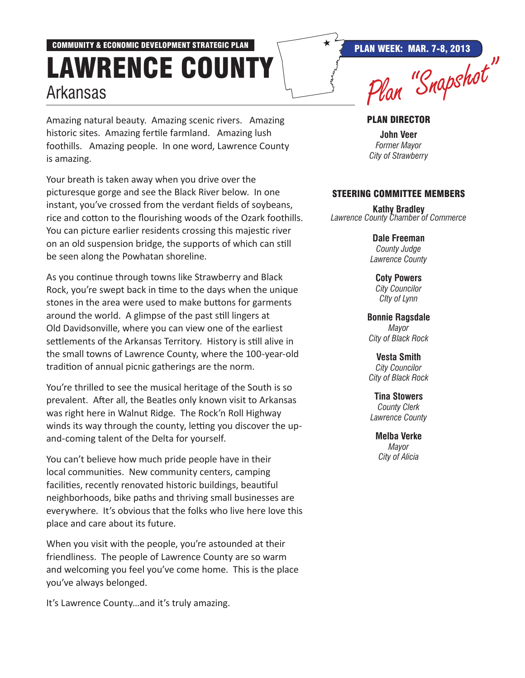## COMMUNITY & ECONOMIC DEVELOPMENT STRATEGIC PLAN  $\overrightarrow{R}$  PLAN WEEK: MAR. 7-8, 2013 Lawrence County Arkansas DUUNIT | Plan "Snapshot"

Amazing natural beauty. Amazing scenic rivers. Amazing historic sites. Amazing fertile farmland. Amazing lush foothills. Amazing people. In one word, Lawrence County is amazing.

Your breath is taken away when you drive over the picturesque gorge and see the Black River below. In one instant, you've crossed from the verdant fields of soybeans, rice and cotton to the flourishing woods of the Ozark foothills. You can picture earlier residents crossing this majestic river on an old suspension bridge, the supports of which can still be seen along the Powhatan shoreline.

As you continue through towns like Strawberry and Black Rock, you're swept back in time to the days when the unique stones in the area were used to make buttons for garments around the world. A glimpse of the past still lingers at Old Davidsonville, where you can view one of the earliest settlements of the Arkansas Territory. History is still alive in the small towns of Lawrence County, where the 100-year-old tradition of annual picnic gatherings are the norm.

You're thrilled to see the musical heritage of the South is so prevalent. After all, the Beatles only known visit to Arkansas was right here in Walnut Ridge. The Rock'n Roll Highway winds its way through the county, letting you discover the upand-coming talent of the Delta for yourself.

You can't believe how much pride people have in their local communities. New community centers, camping facilities, recently renovated historic buildings, beautiful neighborhoods, bike paths and thriving small businesses are everywhere. It's obvious that the folks who live here love this place and care about its future.

When you visit with the people, you're astounded at their friendliness. The people of Lawrence County are so warm and welcoming you feel you've come home. This is the place you've always belonged.

It's Lawrence County…and it's truly amazing.

## Plan Director

**John Veer** *Former Mayor City of Strawberry*

## Steering Committee Members

**Kathy Bradley** *Lawrence County Chamber of Commerce*

> **Dale Freeman** *County Judge Lawrence County*

**Coty Powers** *City Councilor CIty of Lynn*

**Bonnie Ragsdale** *Mayor City of Black Rock*

**Vesta Smith** *City Councilor City of Black Rock*

**Tina Stowers** *County Clerk Lawrence County*

> **Melba Verke** *Mayor City of Alicia*